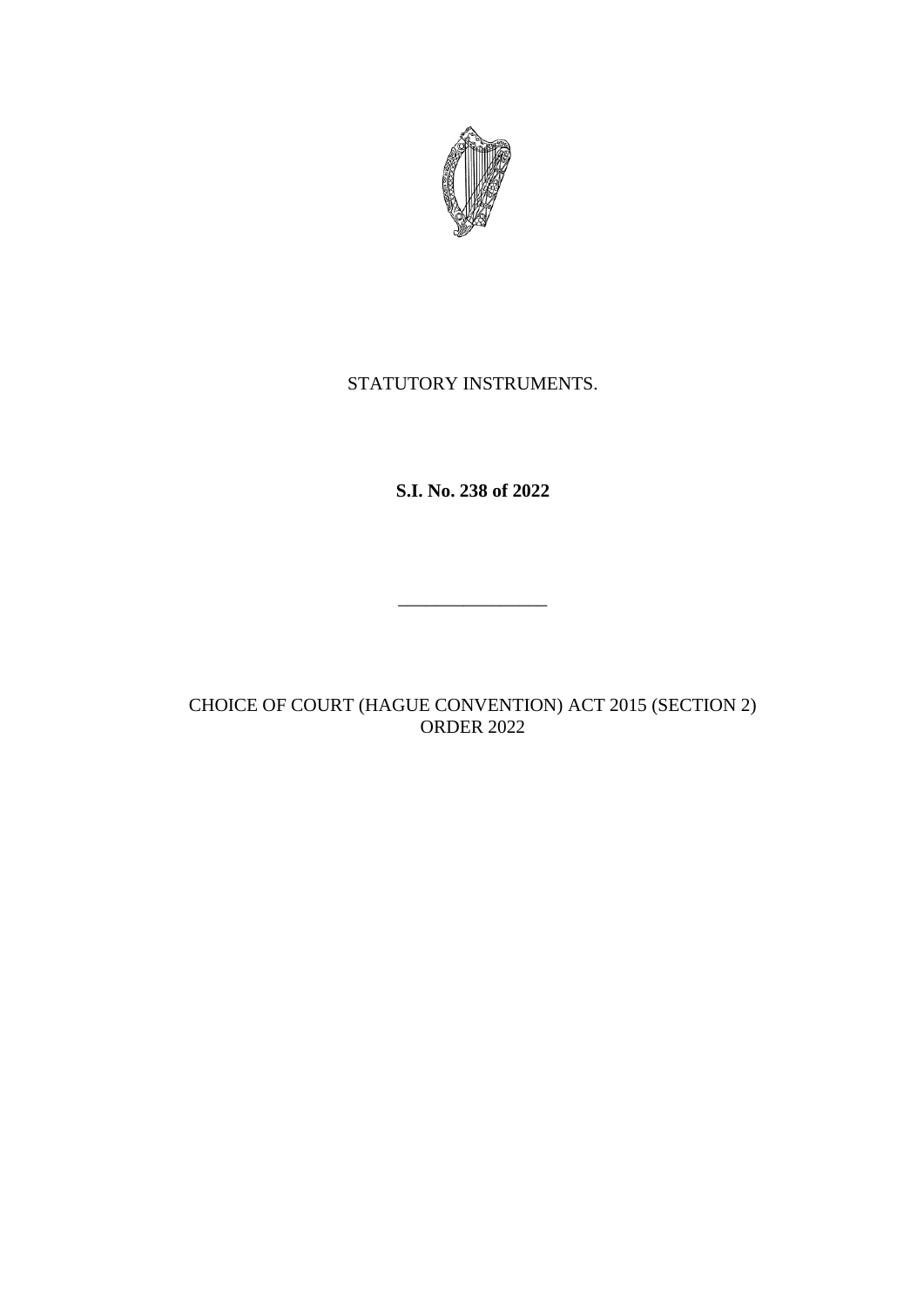

## STATUTORY INSTRUMENTS.

**S.I. No. 238 of 2022**

\_\_\_\_\_\_\_\_\_\_\_\_\_\_\_\_

CHOICE OF COURT (HAGUE CONVENTION) ACT 2015 (SECTION 2) ORDER 2022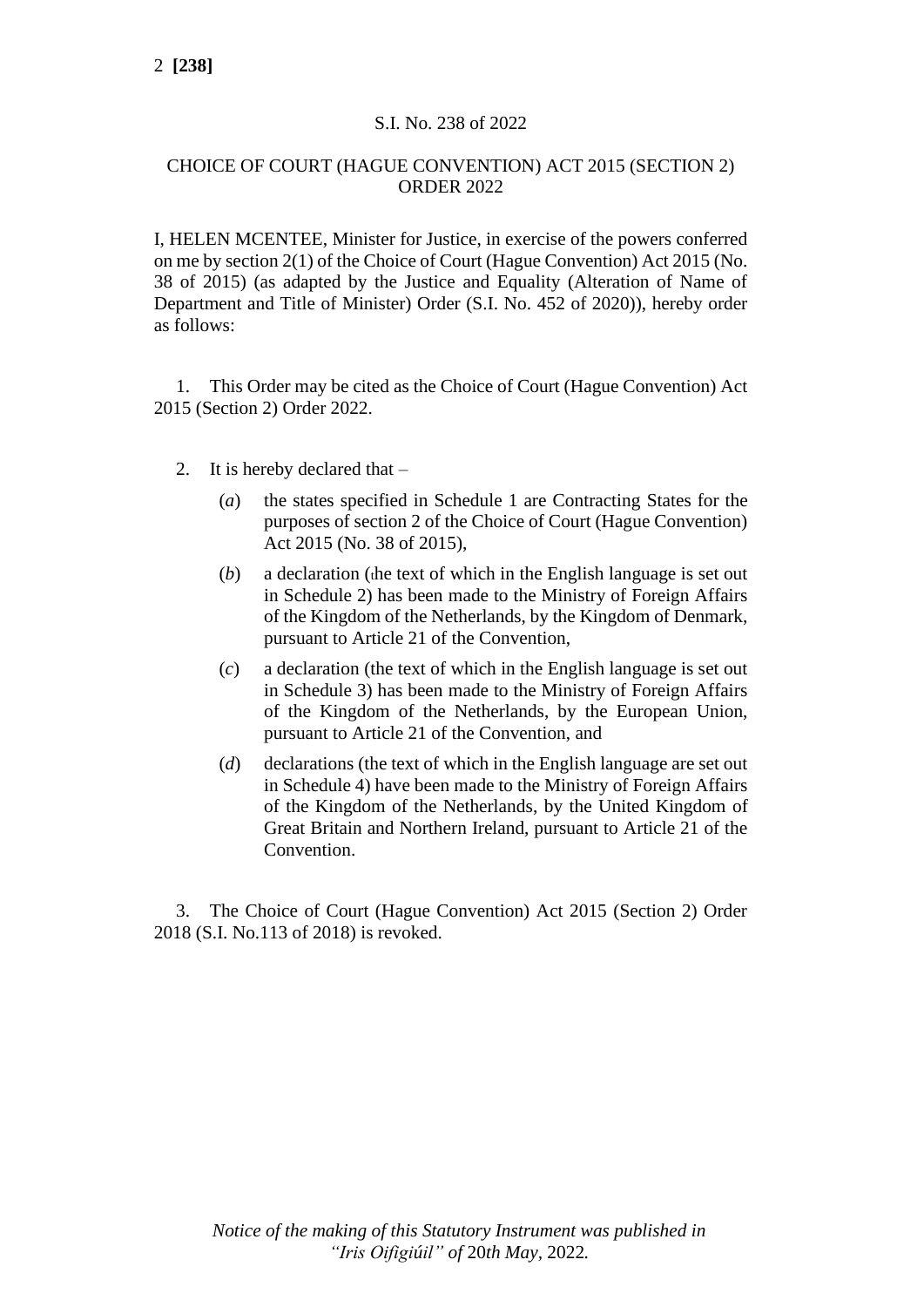## S.I. No. 238 of 2022

## CHOICE OF COURT (HAGUE CONVENTION) ACT 2015 (SECTION 2) ORDER 2022

I, HELEN MCENTEE, Minister for Justice, in exercise of the powers conferred on me by section 2(1) of the Choice of Court (Hague Convention) Act 2015 (No. 38 of 2015) (as adapted by the Justice and Equality (Alteration of Name of Department and Title of Minister) Order (S.I. No. 452 of 2020)), hereby order as follows:

1. This Order may be cited as the Choice of Court (Hague Convention) Act 2015 (Section 2) Order 2022.

- 2. It is hereby declared that
	- (*a*) the states specified in Schedule 1 are Contracting States for the purposes of section 2 of the Choice of Court (Hague Convention) Act 2015 (No. 38 of 2015),
	- (*b*) a declaration (the text of which in the English language is set out in Schedule 2) has been made to the Ministry of Foreign Affairs of the Kingdom of the Netherlands, by the Kingdom of Denmark, pursuant to Article 21 of the Convention,
	- (*c*) a declaration (the text of which in the English language is set out in Schedule 3) has been made to the Ministry of Foreign Affairs of the Kingdom of the Netherlands, by the European Union, pursuant to Article 21 of the Convention, and
	- (*d*) declarations (the text of which in the English language are set out in Schedule 4) have been made to the Ministry of Foreign Affairs of the Kingdom of the Netherlands, by the United Kingdom of Great Britain and Northern Ireland, pursuant to Article 21 of the Convention.

3. The Choice of Court (Hague Convention) Act 2015 (Section 2) Order 2018 (S.I. No.113 of 2018) is revoked.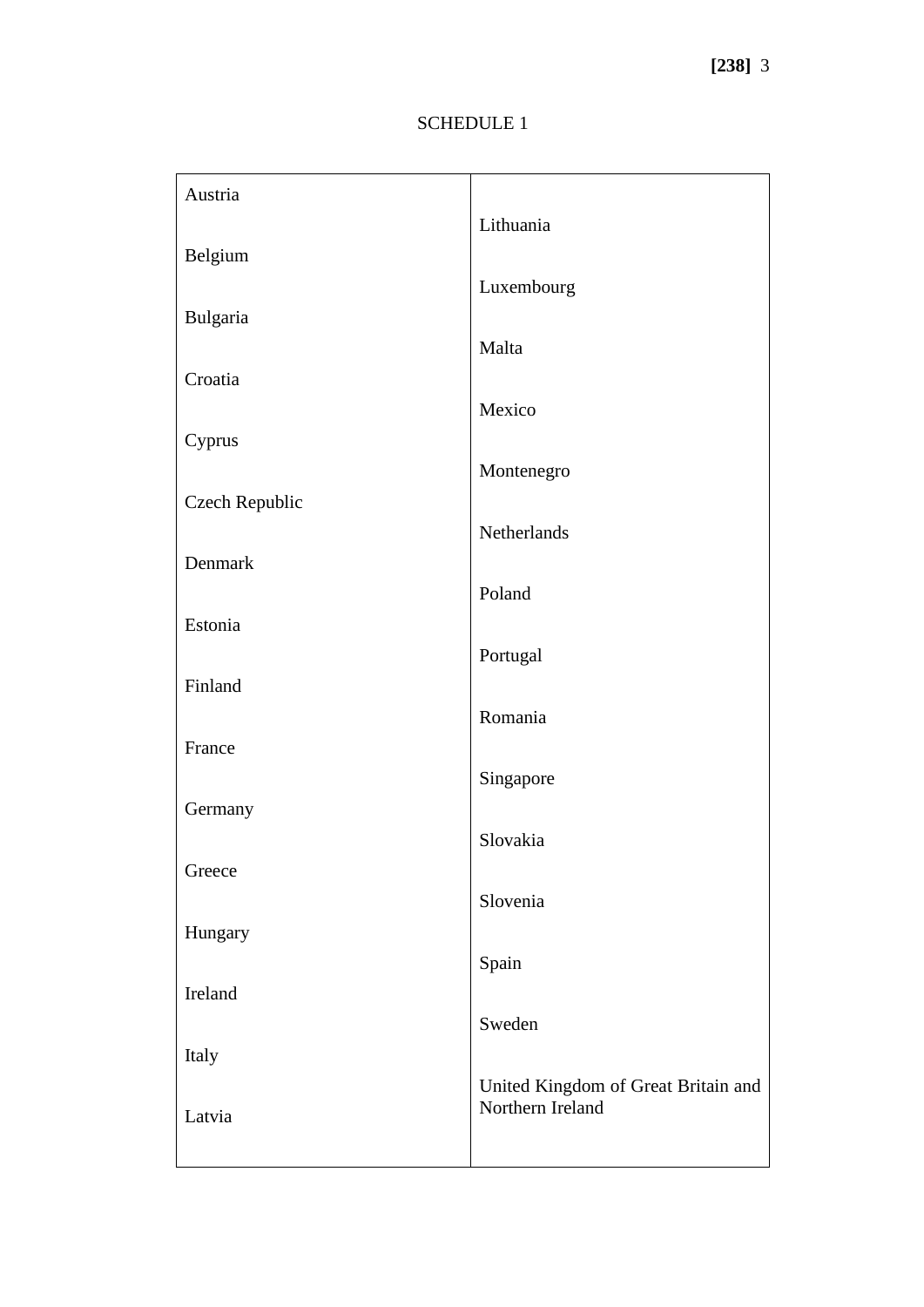# SCHEDULE 1

| Austria        |                                                         |
|----------------|---------------------------------------------------------|
|                | Lithuania                                               |
| Belgium        | Luxembourg                                              |
| Bulgaria       |                                                         |
|                | Malta                                                   |
| Croatia        | Mexico                                                  |
| Cyprus         |                                                         |
|                | Montenegro                                              |
| Czech Republic | Netherlands                                             |
| Denmark        |                                                         |
|                | Poland                                                  |
| Estonia        | Portugal                                                |
| Finland        |                                                         |
|                | Romania                                                 |
| France         | Singapore                                               |
| Germany        |                                                         |
|                | Slovakia                                                |
| Greece         | Slovenia                                                |
| Hungary        |                                                         |
|                | Spain                                                   |
| Ireland        | Sweden                                                  |
| Italy          |                                                         |
|                | United Kingdom of Great Britain and<br>Northern Ireland |
| Latvia         |                                                         |
|                |                                                         |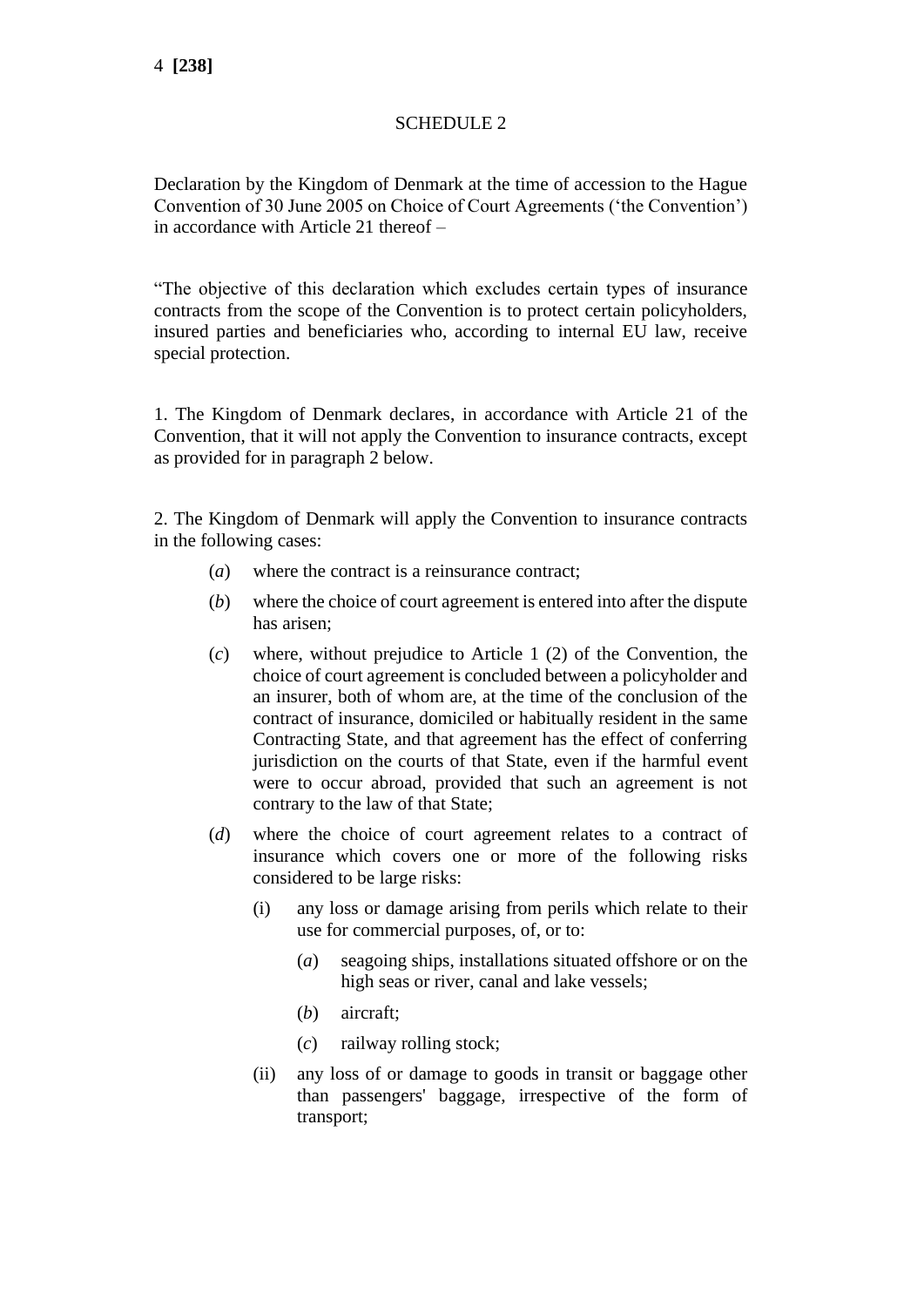## SCHEDULE 2

Declaration by the Kingdom of Denmark at the time of accession to the Hague Convention of 30 June 2005 on Choice of Court Agreements ('the Convention') in accordance with Article 21 thereof –

"The objective of this declaration which excludes certain types of insurance contracts from the scope of the Convention is to protect certain policyholders, insured parties and beneficiaries who, according to internal EU law, receive special protection.

1. The Kingdom of Denmark declares, in accordance with Article 21 of the Convention, that it will not apply the Convention to insurance contracts, except as provided for in paragraph 2 below.

2. The Kingdom of Denmark will apply the Convention to insurance contracts in the following cases:

- (*a*) where the contract is a reinsurance contract;
- (*b*) where the choice of court agreement is entered into after the dispute has arisen;
- (*c*) where, without prejudice to Article 1 (2) of the Convention, the choice of court agreement is concluded between a policyholder and an insurer, both of whom are, at the time of the conclusion of the contract of insurance, domiciled or habitually resident in the same Contracting State, and that agreement has the effect of conferring jurisdiction on the courts of that State, even if the harmful event were to occur abroad, provided that such an agreement is not contrary to the law of that State;
- (*d*) where the choice of court agreement relates to a contract of insurance which covers one or more of the following risks considered to be large risks:
	- (i) any loss or damage arising from perils which relate to their use for commercial purposes, of, or to:
		- (*a*) seagoing ships, installations situated offshore or on the high seas or river, canal and lake vessels;
		- (*b*) aircraft;
		- (*c*) railway rolling stock;
	- (ii) any loss of or damage to goods in transit or baggage other than passengers' baggage, irrespective of the form of transport;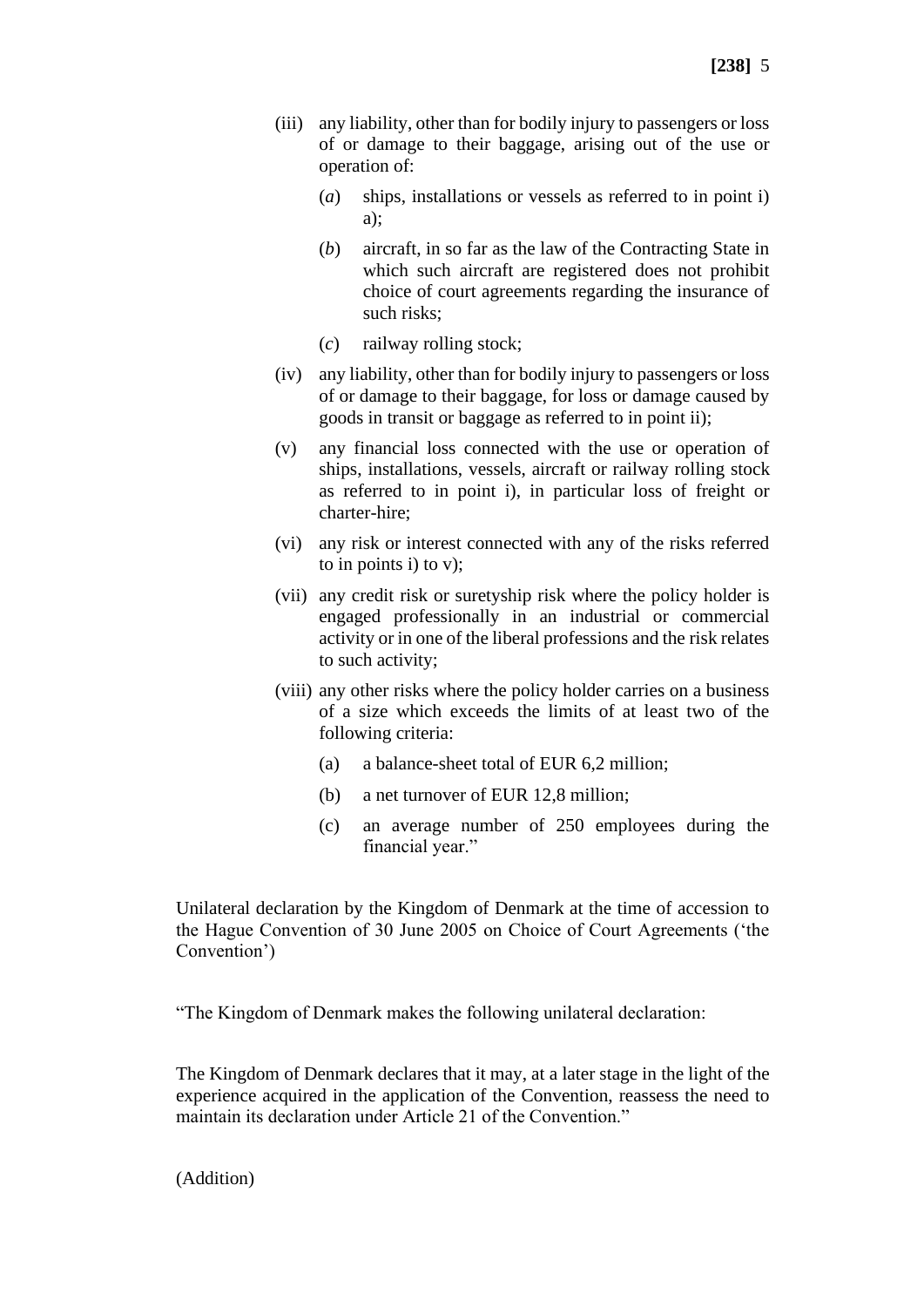- (iii) any liability, other than for bodily injury to passengers or loss of or damage to their baggage, arising out of the use or operation of:
	- (*a*) ships, installations or vessels as referred to in point i) a);
	- (*b*) aircraft, in so far as the law of the Contracting State in which such aircraft are registered does not prohibit choice of court agreements regarding the insurance of such risks;
	- (*c*) railway rolling stock;
- (iv) any liability, other than for bodily injury to passengers or loss of or damage to their baggage, for loss or damage caused by goods in transit or baggage as referred to in point ii);
- (v) any financial loss connected with the use or operation of ships, installations, vessels, aircraft or railway rolling stock as referred to in point i), in particular loss of freight or charter-hire;
- (vi) any risk or interest connected with any of the risks referred to in points i) to v);
- (vii) any credit risk or suretyship risk where the policy holder is engaged professionally in an industrial or commercial activity or in one of the liberal professions and the risk relates to such activity;
- (viii) any other risks where the policy holder carries on a business of a size which exceeds the limits of at least two of the following criteria:
	- (a) a balance-sheet total of EUR 6,2 million;
	- (b) a net turnover of EUR 12,8 million;
	- (c) an average number of 250 employees during the financial year."

Unilateral declaration by the Kingdom of Denmark at the time of accession to the Hague Convention of 30 June 2005 on Choice of Court Agreements ('the Convention')

"The Kingdom of Denmark makes the following unilateral declaration:

The Kingdom of Denmark declares that it may, at a later stage in the light of the experience acquired in the application of the Convention, reassess the need to maintain its declaration under Article 21 of the Convention."

(Addition)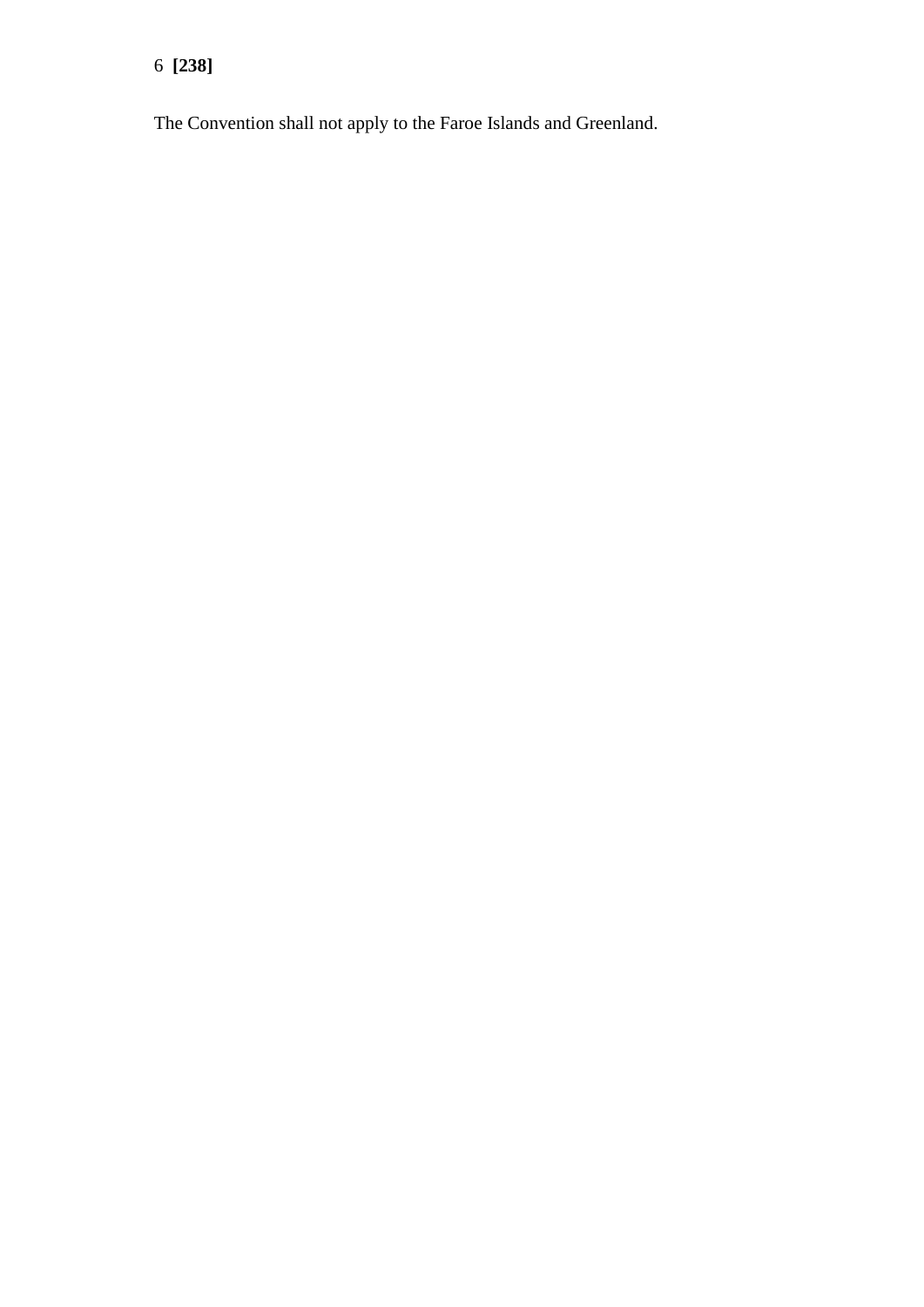6 **[238]**

The Convention shall not apply to the Faroe Islands and Greenland.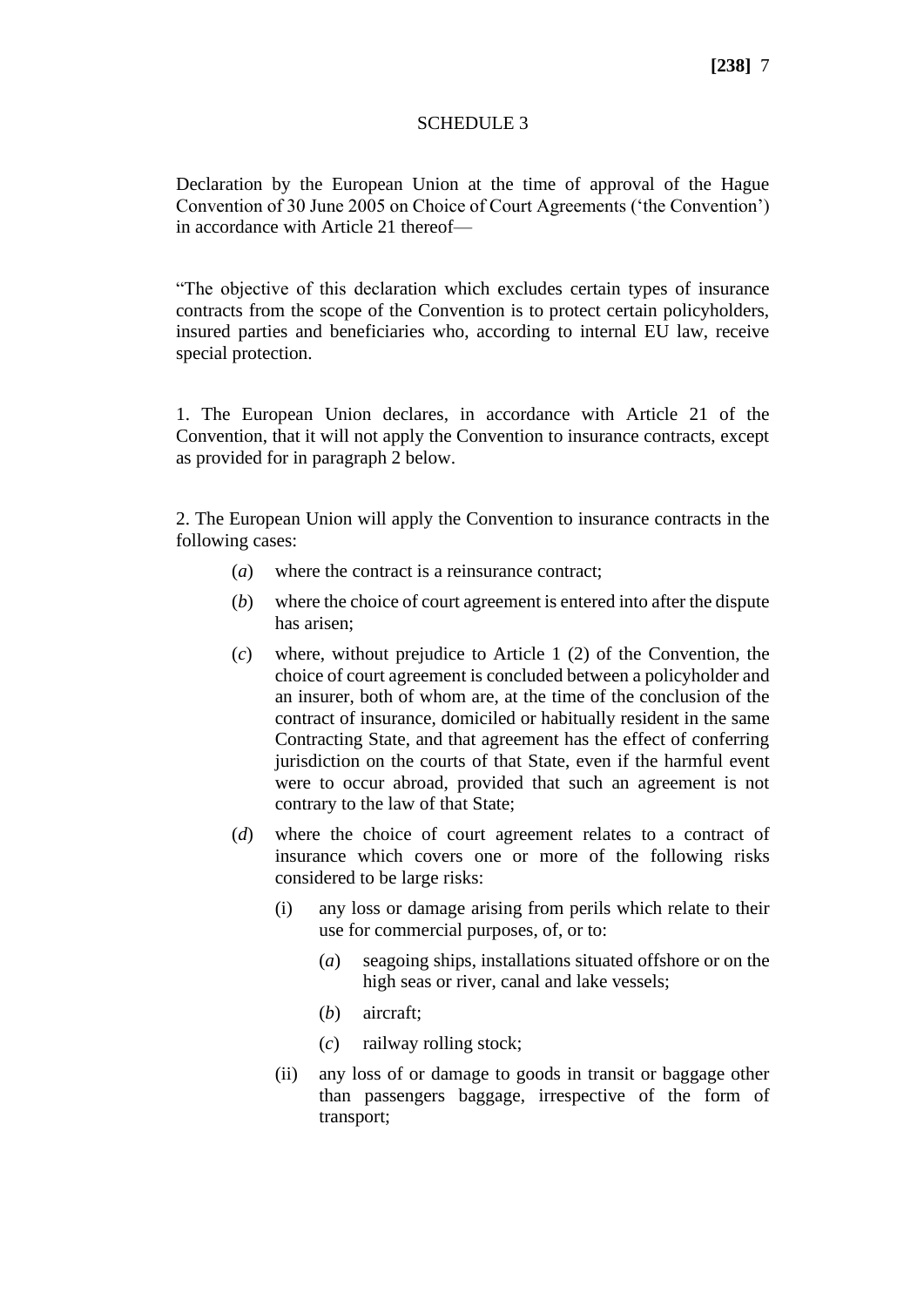## **[238]** 7

#### SCHEDULE 3

Declaration by the European Union at the time of approval of the Hague Convention of 30 June 2005 on Choice of Court Agreements ('the Convention') in accordance with Article 21 thereof—

"The objective of this declaration which excludes certain types of insurance contracts from the scope of the Convention is to protect certain policyholders, insured parties and beneficiaries who, according to internal EU law, receive special protection.

1. The European Union declares, in accordance with Article 21 of the Convention, that it will not apply the Convention to insurance contracts, except as provided for in paragraph 2 below.

2. The European Union will apply the Convention to insurance contracts in the following cases:

- (*a*) where the contract is a reinsurance contract;
- (*b*) where the choice of court agreement is entered into after the dispute has arisen;
- (*c*) where, without prejudice to Article 1 (2) of the Convention, the choice of court agreement is concluded between a policyholder and an insurer, both of whom are, at the time of the conclusion of the contract of insurance, domiciled or habitually resident in the same Contracting State, and that agreement has the effect of conferring jurisdiction on the courts of that State, even if the harmful event were to occur abroad, provided that such an agreement is not contrary to the law of that State;
- (*d*) where the choice of court agreement relates to a contract of insurance which covers one or more of the following risks considered to be large risks:
	- (i) any loss or damage arising from perils which relate to their use for commercial purposes, of, or to:
		- (*a*) seagoing ships, installations situated offshore or on the high seas or river, canal and lake vessels;
		- (*b*) aircraft;
		- (*c*) railway rolling stock;
	- (ii) any loss of or damage to goods in transit or baggage other than passengers baggage, irrespective of the form of transport;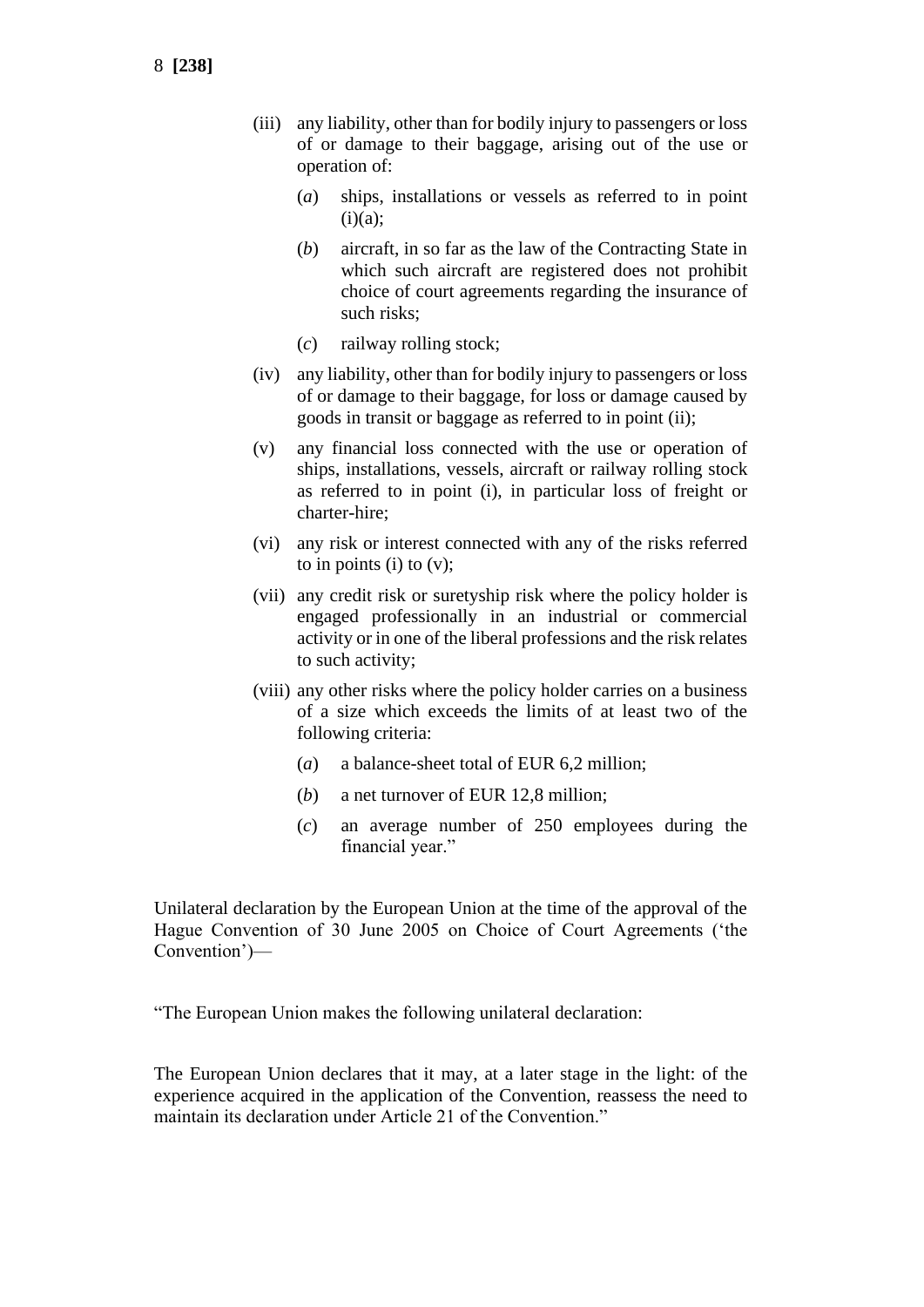- (iii) any liability, other than for bodily injury to passengers or loss of or damage to their baggage, arising out of the use or operation of:
	- (*a*) ships, installations or vessels as referred to in point  $(i)(a);$
	- (*b*) aircraft, in so far as the law of the Contracting State in which such aircraft are registered does not prohibit choice of court agreements regarding the insurance of such risks;
	- (*c*) railway rolling stock;
- (iv) any liability, other than for bodily injury to passengers or loss of or damage to their baggage, for loss or damage caused by goods in transit or baggage as referred to in point (ii);
- (v) any financial loss connected with the use or operation of ships, installations, vessels, aircraft or railway rolling stock as referred to in point (i), in particular loss of freight or charter-hire;
- (vi) any risk or interest connected with any of the risks referred to in points (i) to  $(v)$ ;
- (vii) any credit risk or suretyship risk where the policy holder is engaged professionally in an industrial or commercial activity or in one of the liberal professions and the risk relates to such activity;
- (viii) any other risks where the policy holder carries on a business of a size which exceeds the limits of at least two of the following criteria:
	- (*a*) a balance-sheet total of EUR 6,2 million;
	- (*b*) a net turnover of EUR 12,8 million;
	- (*c*) an average number of 250 employees during the financial year."

Unilateral declaration by the European Union at the time of the approval of the Hague Convention of 30 June 2005 on Choice of Court Agreements ('the Convention')—

"The European Union makes the following unilateral declaration:

The European Union declares that it may, at a later stage in the light: of the experience acquired in the application of the Convention, reassess the need to maintain its declaration under Article 21 of the Convention."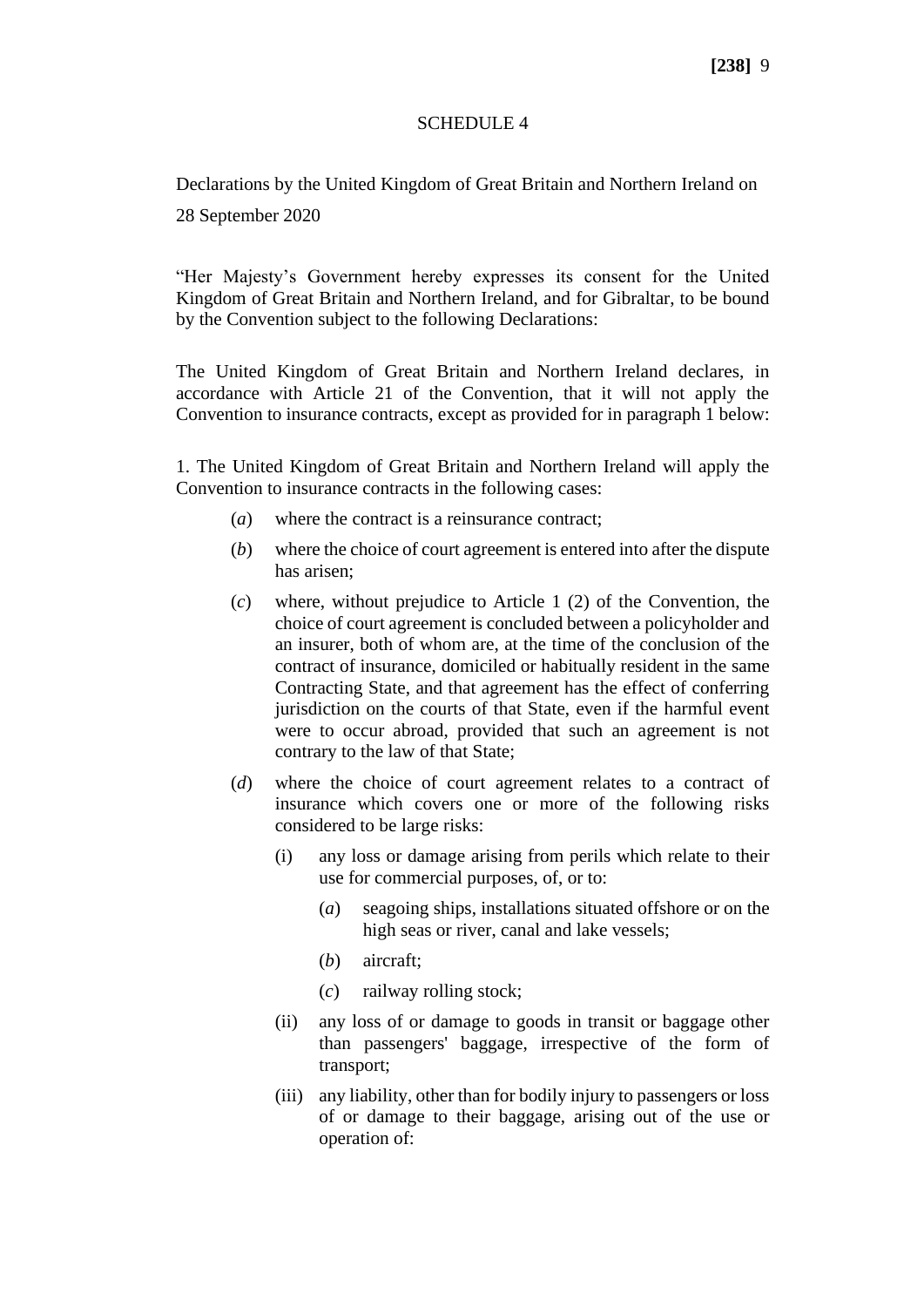### SCHEDULE 4

Declarations by the United Kingdom of Great Britain and Northern Ireland on 28 September 2020

"Her Majesty's Government hereby expresses its consent for the United Kingdom of Great Britain and Northern Ireland, and for Gibraltar, to be bound by the Convention subject to the following Declarations:

The United Kingdom of Great Britain and Northern Ireland declares, in accordance with Article 21 of the Convention, that it will not apply the Convention to insurance contracts, except as provided for in paragraph 1 below:

1. The United Kingdom of Great Britain and Northern Ireland will apply the Convention to insurance contracts in the following cases:

- (*a*) where the contract is a reinsurance contract;
- (*b*) where the choice of court agreement is entered into after the dispute has arisen;
- (*c*) where, without prejudice to Article 1 (2) of the Convention, the choice of court agreement is concluded between a policyholder and an insurer, both of whom are, at the time of the conclusion of the contract of insurance, domiciled or habitually resident in the same Contracting State, and that agreement has the effect of conferring jurisdiction on the courts of that State, even if the harmful event were to occur abroad, provided that such an agreement is not contrary to the law of that State;
- (*d*) where the choice of court agreement relates to a contract of insurance which covers one or more of the following risks considered to be large risks:
	- (i) any loss or damage arising from perils which relate to their use for commercial purposes, of, or to:
		- (*a*) seagoing ships, installations situated offshore or on the high seas or river, canal and lake vessels;
		- (*b*) aircraft;
		- (*c*) railway rolling stock;
	- (ii) any loss of or damage to goods in transit or baggage other than passengers' baggage, irrespective of the form of transport;
	- (iii) any liability, other than for bodily injury to passengers or loss of or damage to their baggage, arising out of the use or operation of: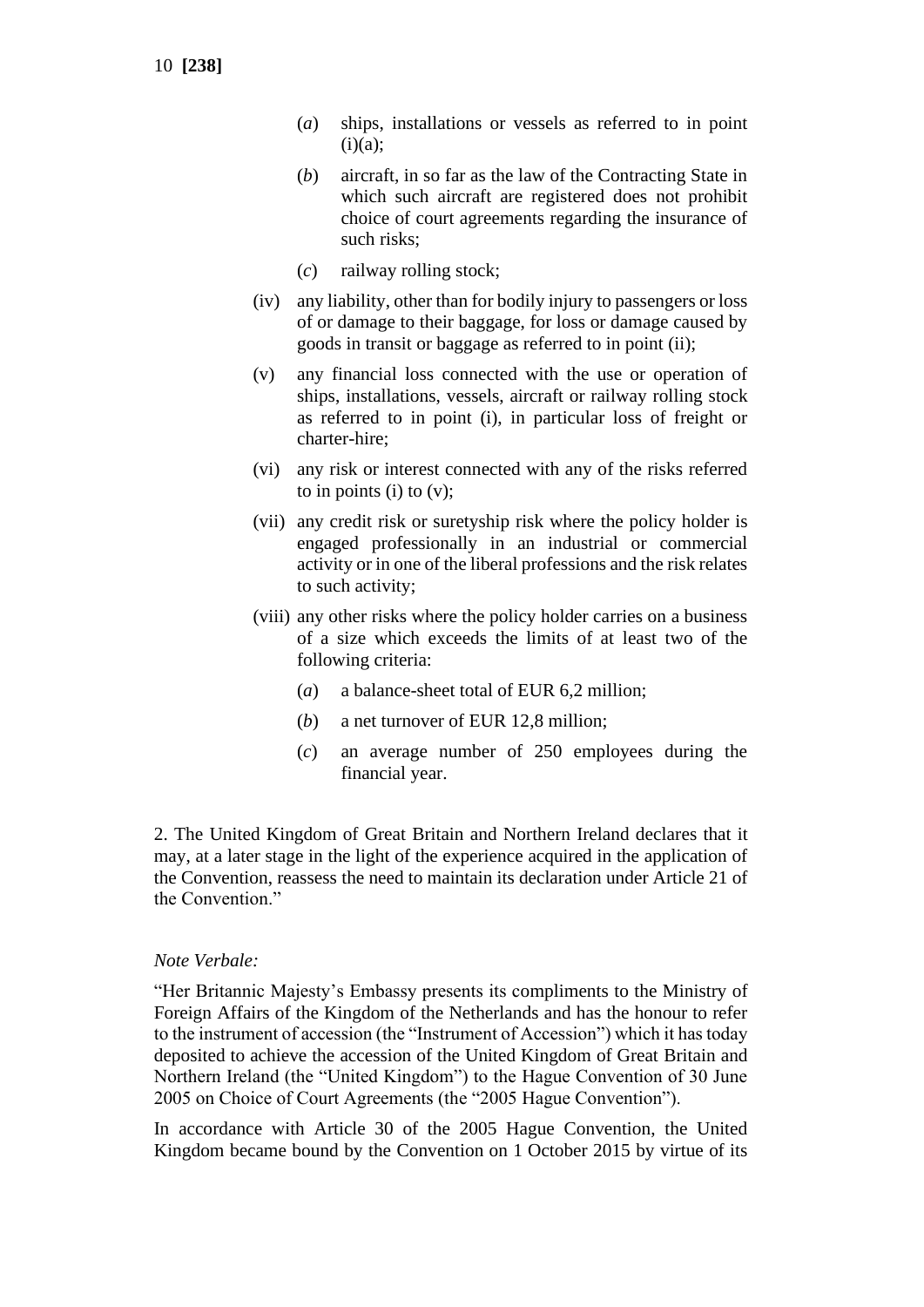10 **[238]**

- (*a*) ships, installations or vessels as referred to in point  $(i)(a)$ ;
- (*b*) aircraft, in so far as the law of the Contracting State in which such aircraft are registered does not prohibit choice of court agreements regarding the insurance of such risks;
- (*c*) railway rolling stock;
- (iv) any liability, other than for bodily injury to passengers or loss of or damage to their baggage, for loss or damage caused by goods in transit or baggage as referred to in point (ii);
- (v) any financial loss connected with the use or operation of ships, installations, vessels, aircraft or railway rolling stock as referred to in point (i), in particular loss of freight or charter-hire;
- (vi) any risk or interest connected with any of the risks referred to in points (i) to  $(v)$ ;
- (vii) any credit risk or suretyship risk where the policy holder is engaged professionally in an industrial or commercial activity or in one of the liberal professions and the risk relates to such activity;
- (viii) any other risks where the policy holder carries on a business of a size which exceeds the limits of at least two of the following criteria:
	- (*a*) a balance-sheet total of EUR 6,2 million;
	- (*b*) a net turnover of EUR 12,8 million;
	- (*c*) an average number of 250 employees during the financial year.

2. The United Kingdom of Great Britain and Northern Ireland declares that it may, at a later stage in the light of the experience acquired in the application of the Convention, reassess the need to maintain its declaration under Article 21 of the Convention."

#### *Note Verbale:*

"Her Britannic Majesty's Embassy presents its compliments to the Ministry of Foreign Affairs of the Kingdom of the Netherlands and has the honour to refer to the instrument of accession (the "Instrument of Accession") which it has today deposited to achieve the accession of the United Kingdom of Great Britain and Northern Ireland (the "United Kingdom") to the Hague Convention of 30 June 2005 on Choice of Court Agreements (the "2005 Hague Convention").

In accordance with Article 30 of the 2005 Hague Convention, the United Kingdom became bound by the Convention on 1 October 2015 by virtue of its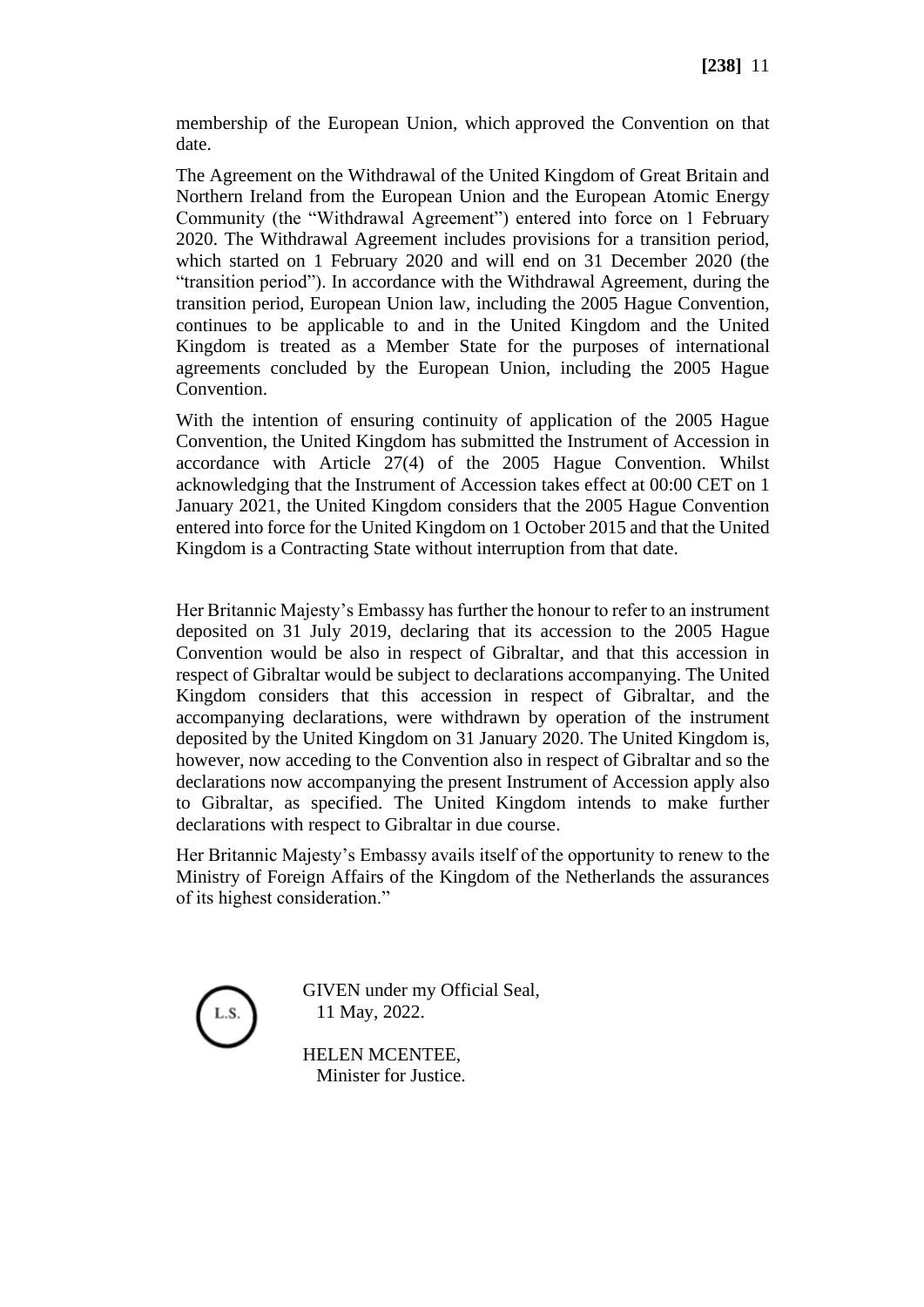membership of the European Union, which approved the Convention on that date.

The Agreement on the Withdrawal of the United Kingdom of Great Britain and Northern Ireland from the European Union and the European Atomic Energy Community (the "Withdrawal Agreement") entered into force on 1 February 2020. The Withdrawal Agreement includes provisions for a transition period, which started on 1 February 2020 and will end on 31 December 2020 (the "transition period"). In accordance with the Withdrawal Agreement, during the transition period, European Union law, including the 2005 Hague Convention, continues to be applicable to and in the United Kingdom and the United Kingdom is treated as a Member State for the purposes of international agreements concluded by the European Union, including the 2005 Hague Convention.

With the intention of ensuring continuity of application of the 2005 Hague Convention, the United Kingdom has submitted the Instrument of Accession in accordance with Article 27(4) of the 2005 Hague Convention. Whilst acknowledging that the Instrument of Accession takes effect at 00:00 CET on 1 January 2021, the United Kingdom considers that the 2005 Hague Convention entered into force for the United Kingdom on 1 October 2015 and that the United Kingdom is a Contracting State without interruption from that date.

Her Britannic Majesty's Embassy has further the honour to refer to an instrument deposited on 31 July 2019, declaring that its accession to the 2005 Hague Convention would be also in respect of Gibraltar, and that this accession in respect of Gibraltar would be subject to declarations accompanying. The United Kingdom considers that this accession in respect of Gibraltar, and the accompanying declarations, were withdrawn by operation of the instrument deposited by the United Kingdom on 31 January 2020. The United Kingdom is, however, now acceding to the Convention also in respect of Gibraltar and so the declarations now accompanying the present Instrument of Accession apply also to Gibraltar, as specified. The United Kingdom intends to make further declarations with respect to Gibraltar in due course.

Her Britannic Majesty's Embassy avails itself of the opportunity to renew to the Ministry of Foreign Affairs of the Kingdom of the Netherlands the assurances of its highest consideration."



GIVEN under my Official Seal, 11 May, 2022.

HELEN MCENTEE, Minister for Justice.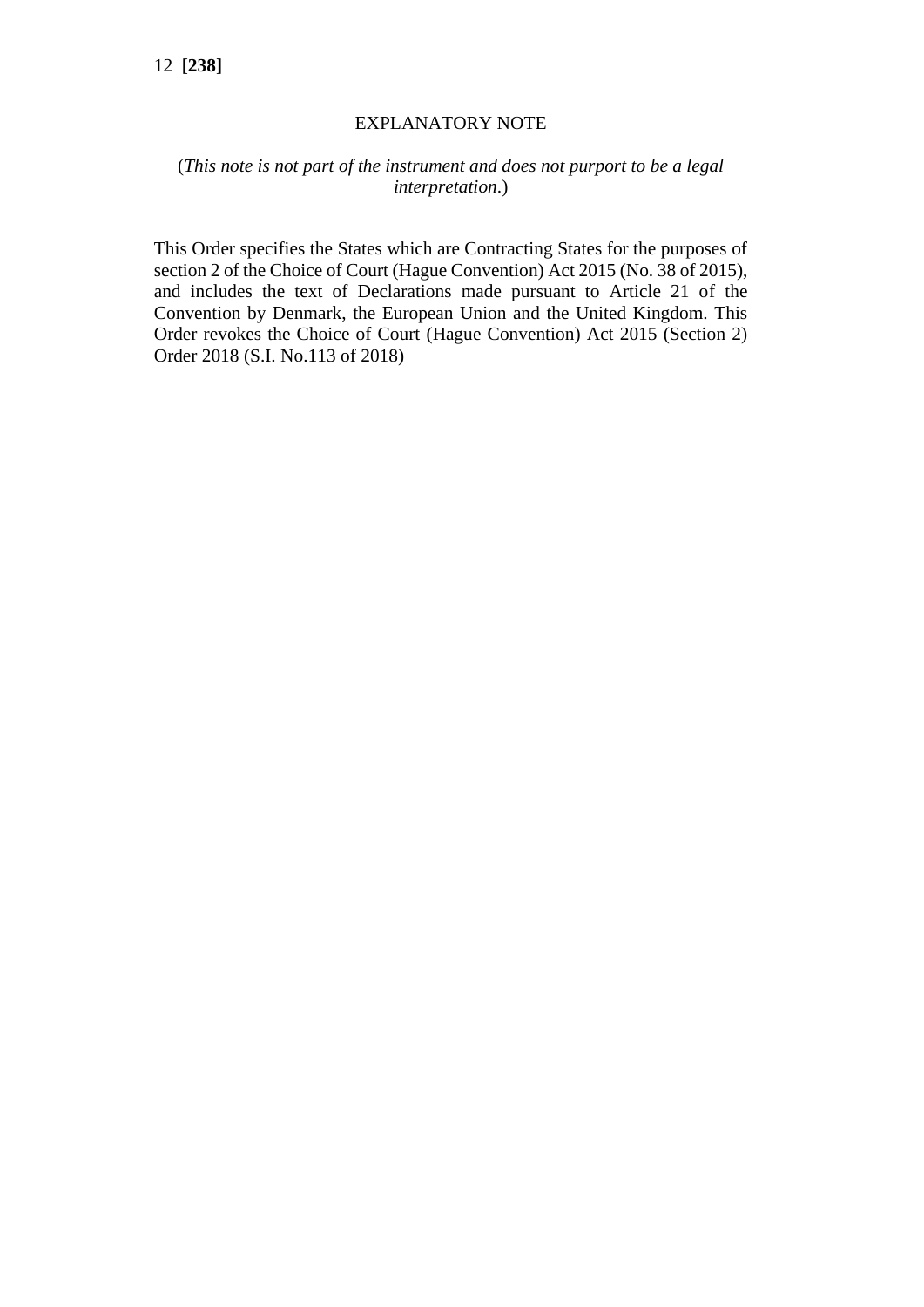## EXPLANATORY NOTE

## (*This note is not part of the instrument and does not purport to be a legal interpretation*.)

This Order specifies the States which are Contracting States for the purposes of section 2 of the Choice of Court (Hague Convention) Act 2015 (No. 38 of 2015), and includes the text of Declarations made pursuant to Article 21 of the Convention by Denmark, the European Union and the United Kingdom. This Order revokes the Choice of Court (Hague Convention) Act 2015 (Section 2) Order 2018 (S.I. No.113 of 2018)